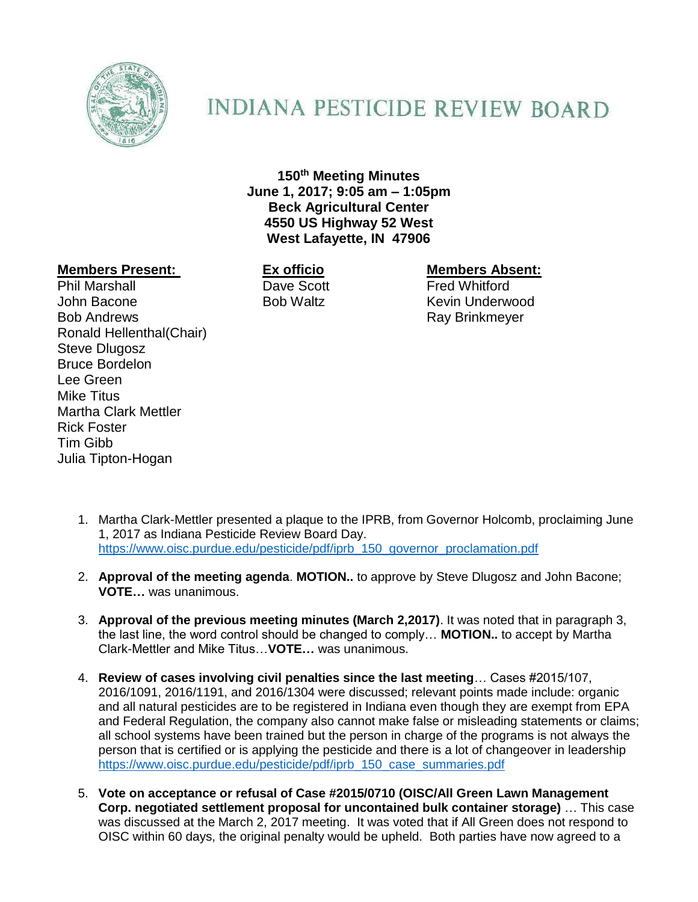

## **INDIANA PESTICIDE REVIEW BOARD**

**150th Meeting Minutes June 1, 2017; 9:05 am – 1:05pm Beck Agricultural Center 4550 US Highway 52 West West Lafayette, IN 47906**

## **Members Present: Ex officio Members Absent:**

Phil Marshall **Dave Scott Contract Fred Whitford** John Bacone **Bob Waltz** Kevin Underwood Bob Andrews **Ray Brinkmeyer** Ray Brinkmeyer Ronald Hellenthal(Chair) Steve Dlugosz Bruce Bordelon Lee Green Mike Titus Martha Clark Mettler Rick Foster Tim Gibb Julia Tipton-Hogan

- 1. Martha Clark-Mettler presented a plaque to the IPRB, from Governor Holcomb, proclaiming June 1, 2017 as Indiana Pesticide Review Board Day. [https://www.oisc.purdue.edu/pesticide/pdf/iprb\\_150\\_governor\\_proclamation.pdf](https://www.oisc.purdue.edu/pesticide/pdf/iprb_150_governor_proclamation.pdf)
- 2. **Approval of the meeting agenda**. **MOTION..** to approve by Steve Dlugosz and John Bacone; **VOTE…** was unanimous.
- 3. **Approval of the previous meeting minutes (March 2,2017)**. It was noted that in paragraph 3, the last line, the word control should be changed to comply… **MOTION..** to accept by Martha Clark-Mettler and Mike Titus…**VOTE…** was unanimous.
- 4. **Review of cases involving civil penalties since the last meeting**… Cases #2015/107, 2016/1091, 2016/1191, and 2016/1304 were discussed; relevant points made include: organic and all natural pesticides are to be registered in Indiana even though they are exempt from EPA and Federal Regulation, the company also cannot make false or misleading statements or claims; all school systems have been trained but the person in charge of the programs is not always the person that is certified or is applying the pesticide and there is a lot of changeover in leadership [https://www.oisc.purdue.edu/pesticide/pdf/iprb\\_150\\_case\\_summaries.pdf](https://www.oisc.purdue.edu/pesticide/pdf/iprb_150_case_summaries.pdf)
- 5. **Vote on acceptance or refusal of Case #2015/0710 (OISC/All Green Lawn Management Corp. negotiated settlement proposal for uncontained bulk container storage)** … This case was discussed at the March 2, 2017 meeting. It was voted that if All Green does not respond to OISC within 60 days, the original penalty would be upheld. Both parties have now agreed to a